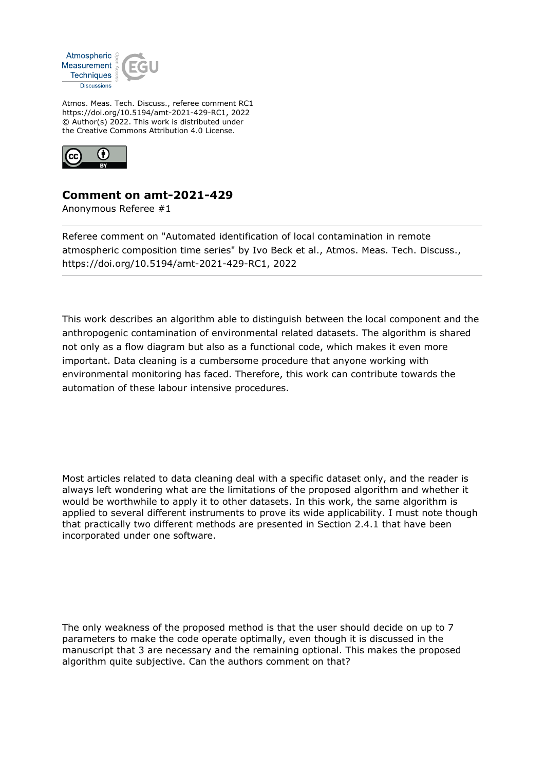

Atmos. Meas. Tech. Discuss., referee comment RC1 https://doi.org/10.5194/amt-2021-429-RC1, 2022 © Author(s) 2022. This work is distributed under the Creative Commons Attribution 4.0 License.



## **Comment on amt-2021-429**

Anonymous Referee #1

Referee comment on "Automated identification of local contamination in remote atmospheric composition time series" by Ivo Beck et al., Atmos. Meas. Tech. Discuss., https://doi.org/10.5194/amt-2021-429-RC1, 2022

This work describes an algorithm able to distinguish between the local component and the anthropogenic contamination of environmental related datasets. The algorithm is shared not only as a flow diagram but also as a functional code, which makes it even more important. Data cleaning is a cumbersome procedure that anyone working with environmental monitoring has faced. Therefore, this work can contribute towards the automation of these labour intensive procedures.

Most articles related to data cleaning deal with a specific dataset only, and the reader is always left wondering what are the limitations of the proposed algorithm and whether it would be worthwhile to apply it to other datasets. In this work, the same algorithm is applied to several different instruments to prove its wide applicability. I must note though that practically two different methods are presented in Section 2.4.1 that have been incorporated under one software.

The only weakness of the proposed method is that the user should decide on up to 7 parameters to make the code operate optimally, even though it is discussed in the manuscript that 3 are necessary and the remaining optional. This makes the proposed algorithm quite subjective. Can the authors comment on that?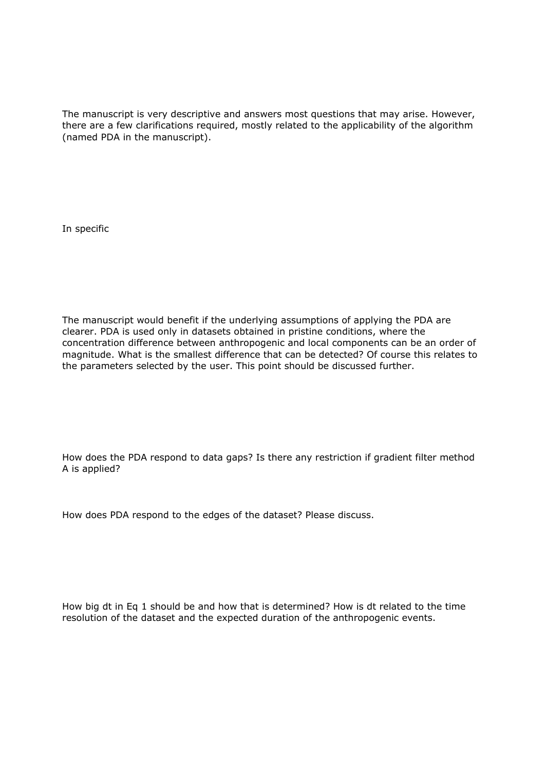The manuscript is very descriptive and answers most questions that may arise. However, there are a few clarifications required, mostly related to the applicability of the algorithm (named PDA in the manuscript).

In specific

The manuscript would benefit if the underlying assumptions of applying the PDA are clearer. PDA is used only in datasets obtained in pristine conditions, where the concentration difference between anthropogenic and local components can be an order of magnitude. What is the smallest difference that can be detected? Of course this relates to the parameters selected by the user. This point should be discussed further.

How does the PDA respond to data gaps? Is there any restriction if gradient filter method A is applied?

How does PDA respond to the edges of the dataset? Please discuss.

How big dt in Eq 1 should be and how that is determined? How is dt related to the time resolution of the dataset and the expected duration of the anthropogenic events.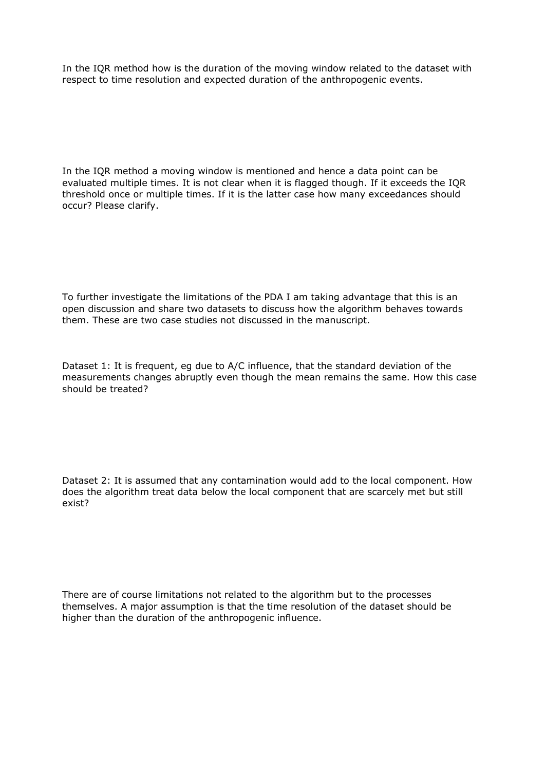In the IQR method how is the duration of the moving window related to the dataset with respect to time resolution and expected duration of the anthropogenic events.

In the IQR method a moving window is mentioned and hence a data point can be evaluated multiple times. It is not clear when it is flagged though. If it exceeds the IQR threshold once or multiple times. If it is the latter case how many exceedances should occur? Please clarify.

To further investigate the limitations of the PDA I am taking advantage that this is an open discussion and share two datasets to discuss how the algorithm behaves towards them. These are two case studies not discussed in the manuscript.

Dataset 1: It is frequent, eg due to A/C influence, that the standard deviation of the measurements changes abruptly even though the mean remains the same. How this case should be treated?

Dataset 2: It is assumed that any contamination would add to the local component. How does the algorithm treat data below the local component that are scarcely met but still exist?

There are of course limitations not related to the algorithm but to the processes themselves. A major assumption is that the time resolution of the dataset should be higher than the duration of the anthropogenic influence.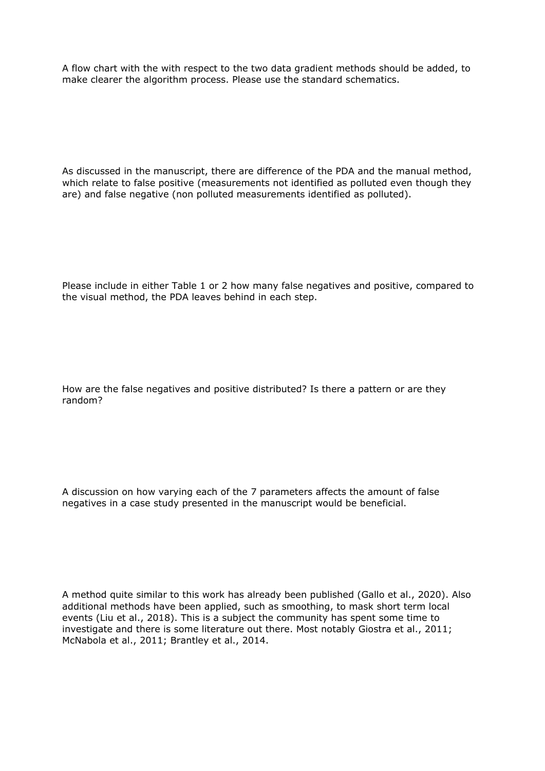A flow chart with the with respect to the two data gradient methods should be added, to make clearer the algorithm process. Please use the standard schematics.

As discussed in the manuscript, there are difference of the PDA and the manual method, which relate to false positive (measurements not identified as polluted even though they are) and false negative (non polluted measurements identified as polluted).

Please include in either Table 1 or 2 how many false negatives and positive, compared to the visual method, the PDA leaves behind in each step.

How are the false negatives and positive distributed? Is there a pattern or are they random?

A discussion on how varying each of the 7 parameters affects the amount of false negatives in a case study presented in the manuscript would be beneficial.

A method quite similar to this work has already been published (Gallo et al., 2020). Also additional methods have been applied, such as smoothing, to mask short term local events (Liu et al., 2018). This is a subject the community has spent some time to investigate and there is some literature out there. Most notably Giostra et al., 2011; McNabola et al., 2011; Brantley et al., 2014.